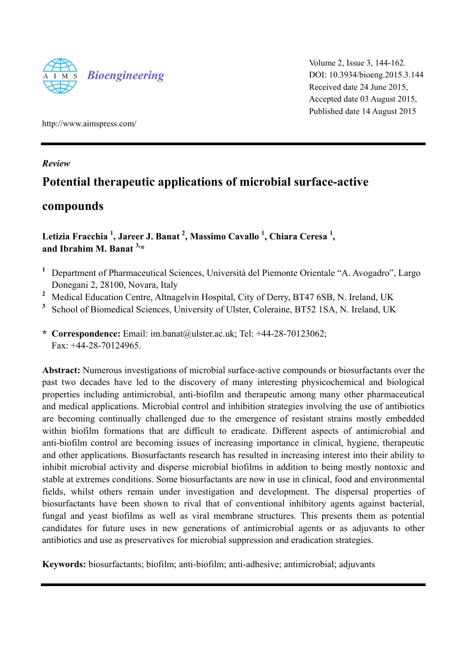

Volume 2, Issue 3, 144-162. DOI: 10.3934/bioeng.2015.3.144 Received date 24 June 2015, Accepted date 03 August 2015, Published date 14 August 2015

http://www.aimspress.com/

## *Review*

# **Potential therapeutic applications of microbial surface-active**

## **compounds**

## Letizia Fracchia <sup>1</sup>, Jareer J. Banat <sup>2</sup>, Massimo Cavallo <sup>1</sup>, Chiara Ceresa <sup>1</sup>, **and Ibrahim M. Banat 3,\***

- <sup>1</sup> Department of Pharmaceutical Sciences, Università del Piemonte Orientale "A. Avogadro", Largo Donegani 2, 28100, Novara, Italy
- <sup>2</sup> Medical Education Centre, Altnagelvin Hospital, City of Derry, BT47 6SB, N. Ireland, UK
- **<sup>3</sup>** School of Biomedical Sciences, University of Ulster, Coleraine, BT52 1SA, N. Ireland, UK
- **\* Correspondence:** Email: im.banat@ulster.ac.uk; Tel: +44-28-70123062; Fax: +44-28-70124965.

**Abstract:** Numerous investigations of microbial surface-active compounds or biosurfactants over the past two decades have led to the discovery of many interesting physicochemical and biological properties including antimicrobial, anti-biofilm and therapeutic among many other pharmaceutical and medical applications. Microbial control and inhibition strategies involving the use of antibiotics are becoming continually challenged due to the emergence of resistant strains mostly embedded within biofilm formations that are difficult to eradicate. Different aspects of antimicrobial and anti-biofilm control are becoming issues of increasing importance in clinical, hygiene, therapeutic and other applications. Biosurfactants research has resulted in increasing interest into their ability to inhibit microbial activity and disperse microbial biofilms in addition to being mostly nontoxic and stable at extremes conditions. Some biosurfactants are now in use in clinical, food and environmental fields, whilst others remain under investigation and development. The dispersal properties of biosurfactants have been shown to rival that of conventional inhibitory agents against bacterial, fungal and yeast biofilms as well as viral membrane structures. This presents them as potential candidates for future uses in new generations of antimicrobial agents or as adjuvants to other antibiotics and use as preservatives for microbial suppression and eradication strategies.

**Keywords:** biosurfactants; biofilm; anti-biofilm; anti-adhesive; antimicrobial; adjuvants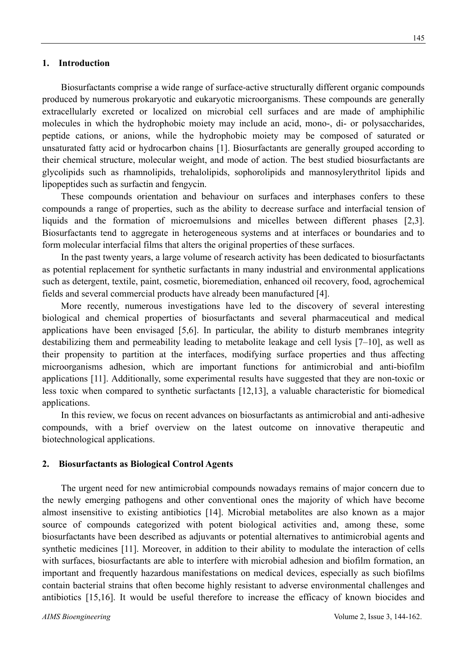#### **1. Introduction**

Biosurfactants comprise a wide range of surface-active structurally different organic compounds produced by numerous prokaryotic and eukaryotic microorganisms. These compounds are generally extracellularly excreted or localized on microbial cell surfaces and are made of amphiphilic molecules in which the hydrophobic moiety may include an acid, mono-, di- or polysaccharides, peptide cations, or anions, while the hydrophobic moiety may be composed of saturated or unsaturated fatty acid or hydrocarbon chains [1]. Biosurfactants are generally grouped according to their chemical structure, molecular weight, and mode of action. The best studied biosurfactants are glycolipids such as rhamnolipids, trehalolipids, sophorolipids and mannosylerythritol lipids and lipopeptides such as surfactin and fengycin.

These compounds orientation and behaviour on surfaces and interphases confers to these compounds a range of properties, such as the ability to decrease surface and interfacial tension of liquids and the formation of microemulsions and micelles between different phases [2,3]. Biosurfactants tend to aggregate in heterogeneous systems and at interfaces or boundaries and to form molecular interfacial films that alters the original properties of these surfaces.

In the past twenty years, a large volume of research activity has been dedicated to biosurfactants as potential replacement for synthetic surfactants in many industrial and environmental applications such as detergent, textile, paint, cosmetic, bioremediation, enhanced oil recovery, food, agrochemical fields and several commercial products have already been manufactured [4].

More recently, numerous investigations have led to the discovery of several interesting biological and chemical properties of biosurfactants and several pharmaceutical and medical applications have been envisaged [5,6]. In particular, the ability to disturb membranes integrity destabilizing them and permeability leading to metabolite leakage and cell lysis [7–10], as well as their propensity to partition at the interfaces, modifying surface properties and thus affecting microorganisms adhesion, which are important functions for antimicrobial and anti-biofilm applications [11]. Additionally, some experimental results have suggested that they are non-toxic or less toxic when compared to synthetic surfactants [12,13], a valuable characteristic for biomedical applications.

In this review, we focus on recent advances on biosurfactants as antimicrobial and anti-adhesive compounds, with a brief overview on the latest outcome on innovative therapeutic and biotechnological applications.

#### **2. Biosurfactants as Biological Control Agents**

The urgent need for new antimicrobial compounds nowadays remains of major concern due to the newly emerging pathogens and other conventional ones the majority of which have become almost insensitive to existing antibiotics [14]. Microbial metabolites are also known as a major source of compounds categorized with potent biological activities and, among these, some biosurfactants have been described as adjuvants or potential alternatives to antimicrobial agents and synthetic medicines [11]. Moreover, in addition to their ability to modulate the interaction of cells with surfaces, biosurfactants are able to interfere with microbial adhesion and biofilm formation, an important and frequently hazardous manifestations on medical devices, especially as such biofilms contain bacterial strains that often become highly resistant to adverse environmental challenges and antibiotics [15,16]. It would be useful therefore to increase the efficacy of known biocides and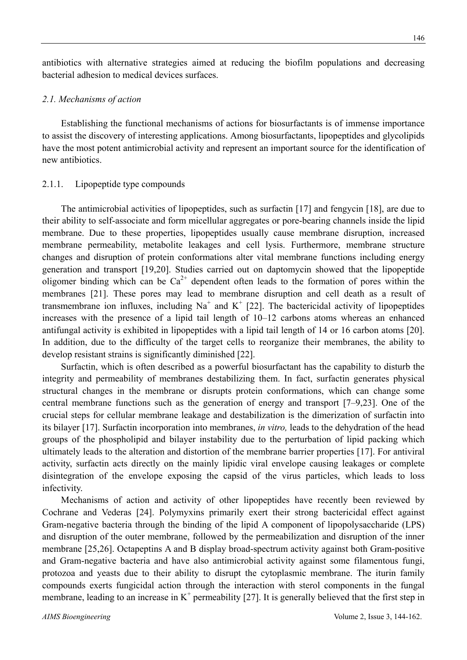antibiotics with alternative strategies aimed at reducing the biofilm populations and decreasing bacterial adhesion to medical devices surfaces.

### *2.1. Mechanisms of action*

Establishing the functional mechanisms of actions for biosurfactants is of immense importance to assist the discovery of interesting applications. Among biosurfactants, lipopeptides and glycolipids have the most potent antimicrobial activity and represent an important source for the identification of new antibiotics.

### 2.1.1. Lipopeptide type compounds

The antimicrobial activities of lipopeptides, such as surfactin [17] and fengycin [18], are due to their ability to self-associate and form micellular aggregates or pore-bearing channels inside the lipid membrane. Due to these properties, lipopeptides usually cause membrane disruption, increased membrane permeability, metabolite leakages and cell lysis. Furthermore, membrane structure changes and disruption of protein conformations alter vital membrane functions including energy generation and transport [19,20]. Studies carried out on daptomycin showed that the lipopeptide oligomer binding which can be  $Ca^{2+}$  dependent often leads to the formation of pores within the membranes [21]. These pores may lead to membrane disruption and cell death as a result of transmembrane ion influxes, including Na<sup>+</sup> and K<sup>+</sup> [22]. The bactericidal activity of lipopeptides increases with the presence of a lipid tail length of 10–12 carbons atoms whereas an enhanced antifungal activity is exhibited in lipopeptides with a lipid tail length of 14 or 16 carbon atoms [20]. In addition, due to the difficulty of the target cells to reorganize their membranes, the ability to develop resistant strains is significantly diminished [22].

Surfactin, which is often described as a powerful biosurfactant has the capability to disturb the integrity and permeability of membranes destabilizing them. In fact, surfactin generates physical structural changes in the membrane or disrupts protein conformations, which can change some central membrane functions such as the generation of energy and transport [7–9,23]. One of the crucial steps for cellular membrane leakage and destabilization is the dimerization of surfactin into its bilayer [17]. Surfactin incorporation into membranes, *in vitro,* leads to the dehydration of the head groups of the phospholipid and bilayer instability due to the perturbation of lipid packing which ultimately leads to the alteration and distortion of the membrane barrier properties [17]. For antiviral activity, surfactin acts directly on the mainly lipidic viral envelope causing leakages or complete disintegration of the envelope exposing the capsid of the virus particles, which leads to loss infectivity.

Mechanisms of action and activity of other lipopeptides have recently been reviewed by Cochrane and Vederas [24]. Polymyxins primarily exert their strong bactericidal effect against Gram-negative bacteria through the binding of the lipid A component of lipopolysaccharide (LPS) and disruption of the outer membrane, followed by the permeabilization and disruption of the inner membrane [25,26]. Octapeptins A and B display broad-spectrum activity against both Gram-positive and Gram-negative bacteria and have also antimicrobial activity against some filamentous fungi, protozoa and yeasts due to their ability to disrupt the cytoplasmic membrane. The iturin family compounds exerts fungicidal action through the interaction with sterol components in the fungal membrane, leading to an increase in  $K^+$  permeability [27]. It is generally believed that the first step in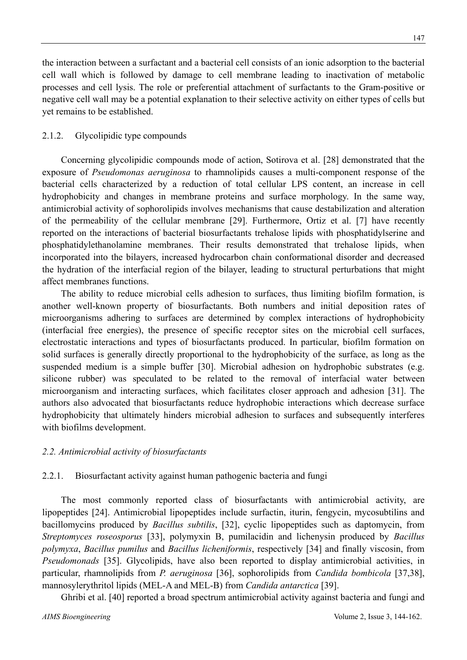the interaction between a surfactant and a bacterial cell consists of an ionic adsorption to the bacterial cell wall which is followed by damage to cell membrane leading to inactivation of metabolic processes and cell lysis. The role or preferential attachment of surfactants to the Gram-positive or negative cell wall may be a potential explanation to their selective activity on either types of cells but yet remains to be established.

## 2.1.2. Glycolipidic type compounds

Concerning glycolipidic compounds mode of action, Sotirova et al. [28] demonstrated that the exposure of *Pseudomonas aeruginosa* to rhamnolipids causes a multi-component response of the bacterial cells characterized by a reduction of total cellular LPS content, an increase in cell hydrophobicity and changes in membrane proteins and surface morphology. In the same way, antimicrobial activity of sophorolipids involves mechanisms that cause destabilization and alteration of the permeability of the cellular membrane [29]. Furthermore, Ortiz et al. [7] have recently reported on the interactions of bacterial biosurfactants trehalose lipids with phosphatidylserine and phosphatidylethanolamine membranes. Their results demonstrated that trehalose lipids, when incorporated into the bilayers, increased hydrocarbon chain conformational disorder and decreased the hydration of the interfacial region of the bilayer, leading to structural perturbations that might affect membranes functions.

The ability to reduce microbial cells adhesion to surfaces, thus limiting biofilm formation, is another well-known property of biosurfactants. Both numbers and initial deposition rates of microorganisms adhering to surfaces are determined by complex interactions of hydrophobicity (interfacial free energies), the presence of specific receptor sites on the microbial cell surfaces, electrostatic interactions and types of biosurfactants produced. In particular, biofilm formation on solid surfaces is generally directly proportional to the hydrophobicity of the surface, as long as the suspended medium is a simple buffer [30]. Microbial adhesion on hydrophobic substrates (e.g. silicone rubber) was speculated to be related to the removal of interfacial water between microorganism and interacting surfaces, which facilitates closer approach and adhesion [31]. The authors also advocated that biosurfactants reduce hydrophobic interactions which decrease surface hydrophobicity that ultimately hinders microbial adhesion to surfaces and subsequently interferes with biofilms development.

## *2.2. Antimicrobial activity of biosurfactants*

## 2.2.1. Biosurfactant activity against human pathogenic bacteria and fungi

The most commonly reported class of biosurfactants with antimicrobial activity, are lipopeptides [24]. Antimicrobial lipopeptides include surfactin, iturin, fengycin, mycosubtilins and bacillomycins produced by *Bacillus subtilis*, [32], cyclic lipopeptides such as daptomycin, from *Streptomyces roseosporus* [33], polymyxin B, pumilacidin and lichenysin produced by *Bacillus polymyxa*, *Bacillus pumilus* and *Bacillus licheniformis*, respectively [34] and finally viscosin, from *Pseudomonads* [35]. Glycolipids, have also been reported to display antimicrobial activities, in particular, rhamnolipids from *P. aeruginosa* [36], sophorolipids from *Candida bombicola* [37,38], mannosylerythritol lipids (MEL-A and MEL-B) from *Candida antarctica* [39].

Ghribi et al. [40] reported a broad spectrum antimicrobial activity against bacteria and fungi and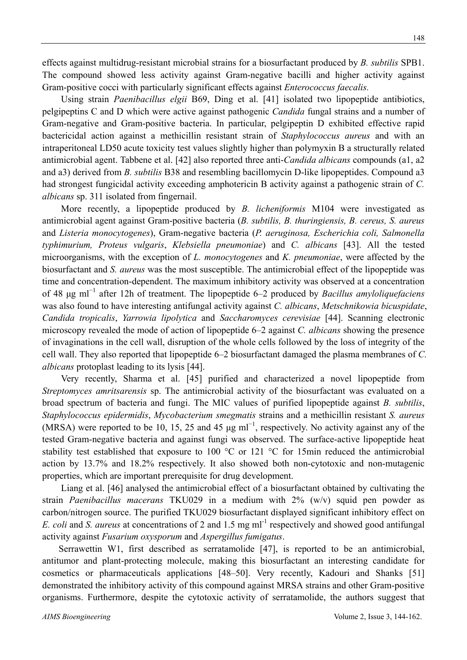effects against multidrug-resistant microbial strains for a biosurfactant produced by *B. subtilis* SPB1. The compound showed less activity against Gram-negative bacilli and higher activity against Gram-positive cocci with particularly significant effects against *Enterococcus faecalis.*

Using strain *Paenibacillus elgii* B69, Ding et al. [41] isolated two lipopeptide antibiotics, pelgipeptins C and D which were active against pathogenic *Candida* fungal strains and a number of Gram-negative and Gram-positive bacteria. In particular, pelgipeptin D exhibited effective rapid bactericidal action against a methicillin resistant strain of *Staphylococcus aureus* and with an intraperitoneal LD50 acute toxicity test values slightly higher than polymyxin B a structurally related antimicrobial agent. Tabbene et al. [42] also reported three anti-*Candida albicans* compounds (a1, a2 and a3) derived from *B. subtilis* B38 and resembling bacillomycin D-like lipopeptides. Compound a3 had strongest fungicidal activity exceeding amphotericin B activity against a pathogenic strain of *C. albicans* sp. 311 isolated from fingernail.

More recently, a lipopeptide produced by *B. licheniformis* M104 were investigated as antimicrobial agent against Gram-positive bacteria (*B. subtilis, B. thuringiensis, B. cereus, S. aureus* and *Listeria monocytogenes*), Gram-negative bacteria (*P. aeruginosa, Escherichia coli, Salmonella typhimurium, Proteus vulgaris*, *Klebsiella pneumoniae*) and *C. albicans* [43]. All the tested microorganisms, with the exception of *L. monocytogenes* and *K. pneumoniae*, were affected by the biosurfactant and *S. aureus* was the most susceptible. The antimicrobial effect of the lipopeptide was time and concentration-dependent. The maximum inhibitory activity was observed at a concentration of 48 μg ml<sup>−</sup><sup>1</sup> after 12h of treatment. The lipopeptide 6–2 produced by *Bacillus amyloliquefaciens* was also found to have interesting antifungal activity against *C. albicans*, *Metschnikowia bicuspidate*, *Candida tropicalis*, *Yarrowia lipolytica* and *Saccharomyces cerevisiae* [44]. Scanning electronic microscopy revealed the mode of action of lipopeptide 6–2 against *C. albicans* showing the presence of invaginations in the cell wall, disruption of the whole cells followed by the loss of integrity of the cell wall. They also reported that lipopeptide 6–2 biosurfactant damaged the plasma membranes of *C. albicans* protoplast leading to its lysis [44].

Very recently, Sharma et al. [45] purified and characterized a novel lipopeptide from *Streptomyces amritsarensis* sp. The antimicrobial activity of the biosurfactant was evaluated on a broad spectrum of bacteria and fungi. The MIC values of purified lipopeptide against *B. subtilis*, *Staphylococcus epidermidis*, *Mycobacterium smegmatis* strains and a methicillin resistant *S. aureus* (MRSA) were reported to be 10, 15, 25 and 45  $\mu$ g ml<sup>-1</sup>, respectively. No activity against any of the tested Gram-negative bacteria and against fungi was observed. The surface-active lipopeptide heat stability test established that exposure to 100 °C or 121 °C for 15min reduced the antimicrobial action by 13.7% and 18.2% respectively. It also showed both non-cytotoxic and non-mutagenic properties, which are important prerequisite for drug development.

Liang et al. [46] analysed the antimicrobial effect of a biosurfactant obtained by cultivating the strain *Paenibacillus macerans* TKU029 in a medium with 2% (w/v) squid pen powder as carbon/nitrogen source. The purified TKU029 biosurfactant displayed significant inhibitory effect on *E. coli* and *S. aureus* at concentrations of 2 and 1.5 mg ml<sup>-1</sup> respectively and showed good antifungal activity against *Fusarium oxysporum* and *Aspergillus fumigatus*.

Serrawettin W1, first described as serratamolide [47], is reported to be an antimicrobial, antitumor and plant-protecting molecule, making this biosurfactant an interesting candidate for cosmetics or pharmaceuticals applications [48–50]. Very recently, Kadouri and Shanks [51] demonstrated the inhibitory activity of this compound against MRSA strains and other Gram-positive organisms. Furthermore, despite the cytotoxic activity of serratamolide, the authors suggest that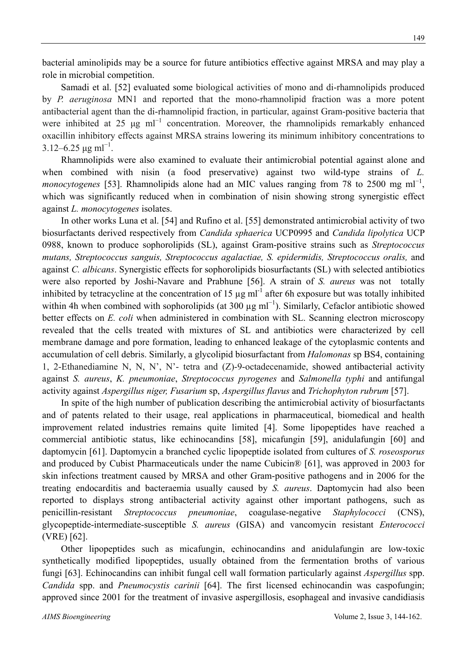bacterial aminolipids may be a source for future antibiotics effective against MRSA and may play a role in microbial competition.

Samadi et al. [52] evaluated some biological activities of mono and di-rhamnolipids produced by *P. aeruginosa* MN1 and reported that the mono-rhamnolipid fraction was a more potent antibacterial agent than the di-rhamnolipid fraction, in particular, against Gram-positive bacteria that were inhibited at 25  $\mu$ g ml<sup>-1</sup> concentration. Moreover, the rhamnolipids remarkably enhanced oxacillin inhibitory effects against MRSA strains lowering its minimum inhibitory concentrations to  $3.12 - 6.25 \,\mathrm{\mu g \, ml}^{-1}$ .

Rhamnolipids were also examined to evaluate their antimicrobial potential against alone and when combined with nisin (a food preservative) against two wild-type strains of *L. monocytogenes* [53]. Rhamnolipids alone had an MIC values ranging from 78 to 2500 mg ml<sup>-1</sup>, which was significantly reduced when in combination of nisin showing strong synergistic effect against *L. monocytogenes* isolates.

In other works Luna et al. [54] and Rufino et al. [55] demonstrated antimicrobial activity of two biosurfactants derived respectively from *Candida sphaerica* UCP0995 and *Candida lipolytica* UCP 0988, known to produce sophorolipids (SL), against Gram-positive strains such as *Streptococcus mutans, Streptococcus sanguis, Streptococcus agalactiae, S. epidermidis, Streptococcus oralis,* and against *C. albicans*. Synergistic effects for sophorolipids biosurfactants (SL) with selected antibiotics were also reported by Joshi-Navare and Prabhune [56]. A strain of *S. aureus* was not totally inhibited by tetracycline at the concentration of 15  $\mu$ g ml<sup>-1</sup> after 6h exposure but was totally inhibited within 4h when combined with sophorolipids (at 300  $\mu$ g ml<sup>-1</sup>). Similarly, Cefaclor antibiotic showed better effects on *E. coli* when administered in combination with SL. Scanning electron microscopy revealed that the cells treated with mixtures of SL and antibiotics were characterized by cell membrane damage and pore formation, leading to enhanced leakage of the cytoplasmic contents and accumulation of cell debris. Similarly, a glycolipid biosurfactant from *Halomonas* sp BS4, containing 1, 2-Ethanediamine N, N, N', N'- tetra and (Z)-9-octadecenamide, showed antibacterial activity against *S. aureus*, *K. pneumoniae*, *Streptococcus pyrogenes* and *Salmonella typhi* and antifungal activity against *Aspergillus niger, Fusarium* sp, *Aspergillus flavus* and *Trichophyton rubrum* [57].

In spite of the high number of publication describing the antimicrobial activity of biosurfactants and of patents related to their usage, real applications in pharmaceutical, biomedical and health improvement related industries remains quite limited [4]. Some lipopeptides have reached a commercial antibiotic status, like echinocandins [58], micafungin [59], anidulafungin [60] and daptomycin [61]. Daptomycin a branched cyclic lipopeptide isolated from cultures of *S. roseosporus*  and produced by Cubist Pharmaceuticals under the name Cubicin® [61], was approved in 2003 for skin infections treatment caused by MRSA and other Gram-positive pathogens and in 2006 for the treating endocarditis and bacteraemia usually caused by *S. aureus*. Daptomycin had also been reported to displays strong antibacterial activity against other important pathogens, such as penicillin-resistant *Streptococcus pneumoniae*, coagulase-negative *Staphylococci* (CNS), glycopeptide-intermediate-susceptible *S. aureus* (GISA) and vancomycin resistant *Enterococci* (VRE) [62].

Other lipopeptides such as micafungin, echinocandins and anidulafungin are low-toxic synthetically modified lipopeptides, usually obtained from the fermentation broths of various fungi [63]. Echinocandins can inhibit fungal cell wall formation particularly against *Aspergillus* spp. *Candida* spp. and *Pneumocystis carinii* [64]. The first licensed echinocandin was caspofungin; approved since 2001 for the treatment of invasive aspergillosis, esophageal and invasive candidiasis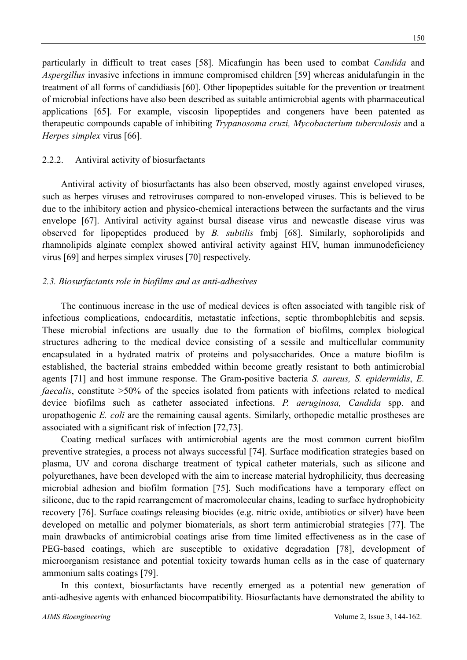particularly in difficult to treat cases [58]. Micafungin has been used to combat *Candida* and *Aspergillus* invasive infections in immune compromised children [59] whereas anidulafungin in the treatment of all forms of candidiasis [60]. Other lipopeptides suitable for the prevention or treatment of microbial infections have also been described as suitable antimicrobial agents with pharmaceutical applications [65]. For example, viscosin lipopeptides and congeners have been patented as therapeutic compounds capable of inhibiting *Trypanosoma cruzi, Mycobacterium tuberculosis* and a *Herpes simplex* virus [66].

### 2.2.2. Antiviral activity of biosurfactants

Antiviral activity of biosurfactants has also been observed, mostly against enveloped viruses, such as herpes viruses and retroviruses compared to non-enveloped viruses. This is believed to be due to the inhibitory action and physico-chemical interactions between the surfactants and the virus envelope [67]. Antiviral activity against bursal disease virus and newcastle disease virus was observed for lipopeptides produced by *B. subtilis* fmbj [68]. Similarly, sophorolipids and rhamnolipids alginate complex showed antiviral activity against HIV, human immunodeficiency virus [69] and herpes simplex viruses [70] respectively.

### *2.3. Biosurfactants role in biofilms and as anti-adhesives*

The continuous increase in the use of medical devices is often associated with tangible risk of infectious complications, endocarditis, metastatic infections, septic thrombophlebitis and sepsis. These microbial infections are usually due to the formation of biofilms, complex biological structures adhering to the medical device consisting of a sessile and multicellular community encapsulated in a hydrated matrix of proteins and polysaccharides. Once a mature biofilm is established, the bacterial strains embedded within become greatly resistant to both antimicrobial agents [71] and host immune response. The Gram-positive bacteria *S. aureus, S. epidermidis*, *E. faecalis*, constitute  $>50\%$  of the species isolated from patients with infections related to medical device biofilms such as catheter associated infections. *P. aeruginosa, Candida* spp. and uropathogenic *E. coli* are the remaining causal agents. Similarly, orthopedic metallic prostheses are associated with a significant risk of infection [72,73].

Coating medical surfaces with antimicrobial agents are the most common current biofilm preventive strategies, a process not always successful [74]. Surface modification strategies based on plasma, UV and corona discharge treatment of typical catheter materials, such as silicone and polyurethanes, have been developed with the aim to increase material hydrophilicity, thus decreasing microbial adhesion and biofilm formation [75]. Such modifications have a temporary effect on silicone, due to the rapid rearrangement of macromolecular chains, leading to surface hydrophobicity recovery [76]. Surface coatings releasing biocides (e.g. nitric oxide, antibiotics or silver) have been developed on metallic and polymer biomaterials, as short term antimicrobial strategies [77]. The main drawbacks of antimicrobial coatings arise from time limited effectiveness as in the case of PEG-based coatings, which are susceptible to oxidative degradation [78], development of microorganism resistance and potential toxicity towards human cells as in the case of quaternary ammonium salts coatings [79].

In this context, biosurfactants have recently emerged as a potential new generation of anti-adhesive agents with enhanced biocompatibility. Biosurfactants have demonstrated the ability to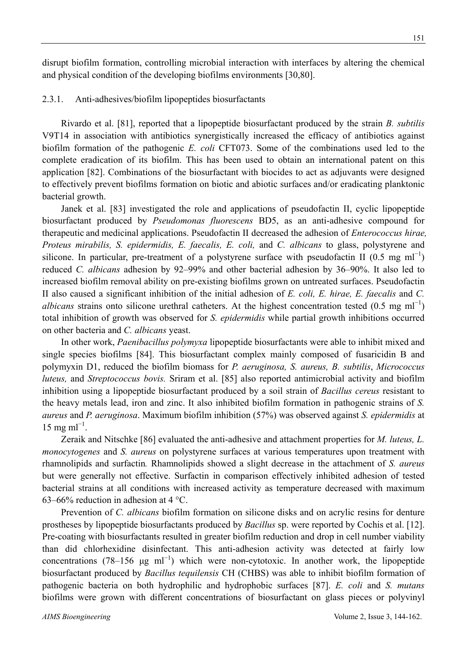disrupt biofilm formation, controlling microbial interaction with interfaces by altering the chemical and physical condition of the developing biofilms environments [30,80].

#### 2.3.1. Anti-adhesives/biofilm lipopeptides biosurfactants

Rivardo et al. [81], reported that a lipopeptide biosurfactant produced by the strain *B. subtilis*  V9T14 in association with antibiotics synergistically increased the efficacy of antibiotics against biofilm formation of the pathogenic *E. coli* CFT073. Some of the combinations used led to the complete eradication of its biofilm. This has been used to obtain an international patent on this application [82]. Combinations of the biosurfactant with biocides to act as adjuvants were designed to effectively prevent biofilms formation on biotic and abiotic surfaces and/or eradicating planktonic bacterial growth.

Janek et al. [83] investigated the role and applications of pseudofactin II, cyclic lipopeptide biosurfactant produced by *Pseudomonas fluorescens* BD5, as an anti-adhesive compound for therapeutic and medicinal applications. Pseudofactin II decreased the adhesion of *Enterococcus hirae, Proteus mirabilis, S. epidermidis, E. faecalis, E. coli,* and *C. albicans* to glass, polystyrene and silicone. In particular, pre-treatment of a polystyrene surface with pseudofactin II (0.5 mg ml<sup>-1</sup>) reduced *C. albicans* adhesion by 92–99% and other bacterial adhesion by 36–90%. It also led to increased biofilm removal ability on pre-existing biofilms grown on untreated surfaces. Pseudofactin II also caused a significant inhibition of the initial adhesion of *E. coli, E. hirae, E. faecalis* and *C. albicans* strains onto silicone urethral catheters. At the highest concentration tested (0.5 mg ml<sup>-1</sup>) total inhibition of growth was observed for *S. epidermidis* while partial growth inhibitions occurred on other bacteria and *C. albicans* yeast.

In other work, *Paenibacillus polymyxa* lipopeptide biosurfactants were able to inhibit mixed and single species biofilms [84]. This biosurfactant complex mainly composed of fusaricidin B and polymyxin D1, reduced the biofilm biomass for *P. aeruginosa, S. aureus, B. subtilis*, *Micrococcus luteus,* and *Streptococcus bovis.* Sriram et al. [85] also reported antimicrobial activity and biofilm inhibition using a lipopeptide biosurfactant produced by a soil strain of *Bacillus cereus* resistant to the heavy metals lead, iron and zinc. It also inhibited biofilm formation in pathogenic strains of *S. aureus* and *P. aeruginosa*. Maximum biofilm inhibition (57%) was observed against *S. epidermidis* at  $15 \text{ mg ml}^{-1}$ .

Zeraik and Nitschke [86] evaluated the anti-adhesive and attachment properties for *M. luteus, L. monocytogenes* and *S. aureus* on polystyrene surfaces at various temperatures upon treatment with rhamnolipids and surfactin*.* Rhamnolipids showed a slight decrease in the attachment of *S. aureus*  but were generally not effective. Surfactin in comparison effectively inhibited adhesion of tested bacterial strains at all conditions with increased activity as temperature decreased with maximum 63–66% reduction in adhesion at 4  $^{\circ}$ C.

Prevention of *C. albicans* biofilm formation on silicone disks and on acrylic resins for denture prostheses by lipopeptide biosurfactants produced by *Bacillus* sp. were reported by Cochis et al. [12]. Pre-coating with biosurfactants resulted in greater biofilm reduction and drop in cell number viability than did chlorhexidine disinfectant. This anti-adhesion activity was detected at fairly low concentrations (78–156  $\mu$ g ml<sup>-1</sup>) which were non-cytotoxic. In another work, the lipopeptide biosurfactant produced by *Bacillus tequilensis* CH (CHBS) was able to inhibit biofilm formation of pathogenic bacteria on both hydrophilic and hydrophobic surfaces [87]. *E. coli* and *S. mutans* biofilms were grown with different concentrations of biosurfactant on glass pieces or polyvinyl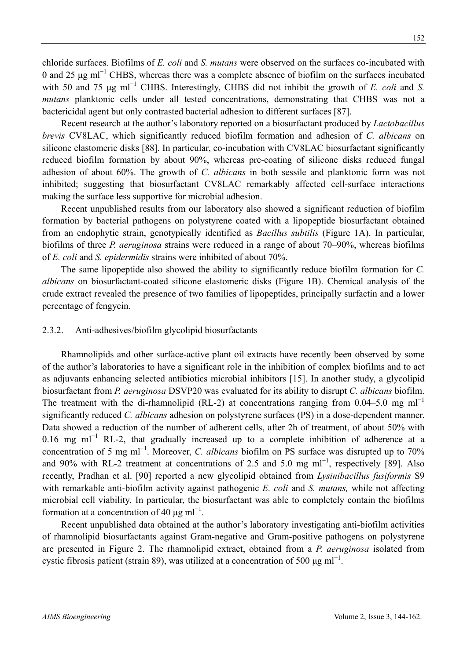chloride surfaces. Biofilms of *E. coli* and *S. mutans* were observed on the surfaces co-incubated with 0 and 25  $\mu$ g ml<sup>-1</sup> CHBS, whereas there was a complete absence of biofilm on the surfaces incubated with 50 and 75 μg ml<sup>-1</sup> CHBS. Interestingly, CHBS did not inhibit the growth of *E. coli* and *S. mutans* planktonic cells under all tested concentrations, demonstrating that CHBS was not a bactericidal agent but only contrasted bacterial adhesion to different surfaces [87].

Recent research at the author's laboratory reported on a biosurfactant produced by *Lactobacillus brevis* CV8LAC, which significantly reduced biofilm formation and adhesion of *C. albicans* on silicone elastomeric disks [88]. In particular, co-incubation with CV8LAC biosurfactant significantly reduced biofilm formation by about 90%, whereas pre-coating of silicone disks reduced fungal adhesion of about 60%. The growth of *C. albicans* in both sessile and planktonic form was not inhibited; suggesting that biosurfactant CV8LAC remarkably affected cell-surface interactions making the surface less supportive for microbial adhesion.

Recent unpublished results from our laboratory also showed a significant reduction of biofilm formation by bacterial pathogens on polystyrene coated with a lipopeptide biosurfactant obtained from an endophytic strain, genotypically identified as *Bacillus subtilis* (Figure 1A). In particular, biofilms of three *P. aeruginosa* strains were reduced in a range of about 70–90%, whereas biofilms of *E. coli* and *S. epidermidis* strains were inhibited of about 70%.

The same lipopeptide also showed the ability to significantly reduce biofilm formation for *C. albicans* on biosurfactant-coated silicone elastomeric disks (Figure 1B). Chemical analysis of the crude extract revealed the presence of two families of lipopeptides, principally surfactin and a lower percentage of fengycin.

#### 2.3.2. Anti-adhesives/biofilm glycolipid biosurfactants

Rhamnolipids and other surface-active plant oil extracts have recently been observed by some of the author's laboratories to have a significant role in the inhibition of complex biofilms and to act as adjuvants enhancing selected antibiotics microbial inhibitors [15]. In another study, a glycolipid biosurfactant from *P. aeruginosa* DSVP20 was evaluated for its ability to disrupt *C. albicans* biofilm. The treatment with the di-rhamnolipid (RL-2) at concentrations ranging from 0.04–5.0 mg ml<sup>-1</sup> significantly reduced *C. albicans* adhesion on polystyrene surfaces (PS) in a dose-dependent manner. Data showed a reduction of the number of adherent cells, after 2h of treatment, of about 50% with 0.16 mg ml<sup>-1</sup> RL-2, that gradually increased up to a complete inhibition of adherence at a concentration of 5 mg ml<sup>-1</sup>. Moreover, *C. albicans* biofilm on PS surface was disrupted up to 70% and 90% with RL-2 treatment at concentrations of 2.5 and 5.0 mg ml<sup>-1</sup>, respectively [89]. Also recently, Pradhan et al. [90] reported a new glycolipid obtained from *Lysinibacillus fusiformis* S9 with remarkable anti-biofilm activity against pathogenic *E. coli* and *S. mutans,* while not affecting microbial cell viability*.* In particular, the biosurfactant was able to completely contain the biofilms formation at a concentration of 40  $\mu$ g ml<sup>-1</sup>.

Recent unpublished data obtained at the author's laboratory investigating anti-biofilm activities of rhamnolipid biosurfactants against Gram-negative and Gram-positive pathogens on polystyrene are presented in Figure 2. The rhamnolipid extract, obtained from a *P. aeruginosa* isolated from cystic fibrosis patient (strain 89), was utilized at a concentration of 500  $\mu$ g ml<sup>-1</sup>.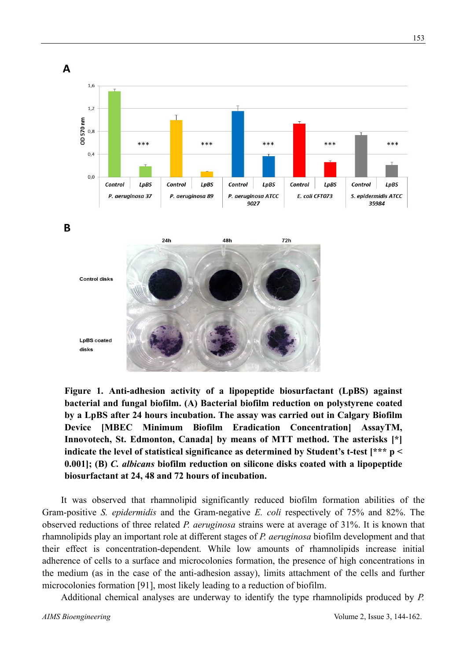

**Figure 1. Anti-adhesion activity of a lipopeptide biosurfactant (LpBS) against bacterial and fungal biofilm. (A) Bacterial biofilm reduction on polystyrene coated by a LpBS after 24 hours incubation. The assay was carried out in Calgary Biofilm Device [MBEC Minimum Biofilm Eradication Concentration] AssayTM, Innovotech, St. Edmonton, Canada] by means of MTT method. The asterisks [\*] indicate the level of statistical significance as determined by Student's t-test [\*\*\* p < 0.001]; (B)** *C. albicans* **biofilm reduction on silicone disks coated with a lipopeptide biosurfactant at 24, 48 and 72 hours of incubation.**

It was observed that rhamnolipid significantly reduced biofilm formation abilities of the Gram-positive *S. epidermidis* and the Gram-negative *E. coli* respectively of 75% and 82%. The observed reductions of three related *P. aeruginosa* strains were at average of 31%. It is known that rhamnolipids play an important role at different stages of *P. aeruginosa* biofilm development and that their effect is concentration-dependent. While low amounts of rhamnolipids increase initial adherence of cells to a surface and microcolonies formation, the presence of high concentrations in the medium (as in the case of the anti-adhesion assay), limits attachment of the cells and further microcolonies formation [91], most likely leading to a reduction of biofilm.

Additional chemical analyses are underway to identify the type rhamnolipids produced by *P.*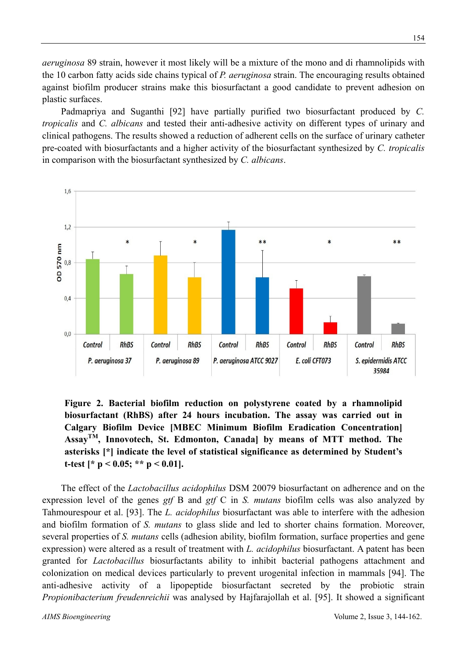*aeruginosa* 89 strain, however it most likely will be a mixture of the mono and di rhamnolipids with the 10 carbon fatty acids side chains typical of *P. aeruginosa* strain. The encouraging results obtained against biofilm producer strains make this biosurfactant a good candidate to prevent adhesion on plastic surfaces.

Padmapriya and Suganthi [92] have partially purified two biosurfactant produced by *C. tropicalis* and *C. albicans* and tested their anti-adhesive activity on different types of urinary and clinical pathogens. The results showed a reduction of adherent cells on the surface of urinary catheter pre-coated with biosurfactants and a higher activity of the biosurfactant synthesized by *C. tropicalis* in comparison with the biosurfactant synthesized by *C. albicans*.



**Figure 2. Bacterial biofilm reduction on polystyrene coated by a rhamnolipid biosurfactant (RhBS) after 24 hours incubation. The assay was carried out in Calgary Biofilm Device [MBEC Minimum Biofilm Eradication Concentration] AssayTM, Innovotech, St. Edmonton, Canada] by means of MTT method. The asterisks [\*] indicate the level of statistical significance as determined by Student's t-test [\* p < 0.05; \*\* p < 0.01].**

The effect of the *Lactobacillus acidophilus* DSM 20079 biosurfactant on adherence and on the expression level of the genes *gtf* B and *gtf* C in *S. mutans* biofilm cells was also analyzed by Tahmourespour et al. [93]. The *L. acidophilus* biosurfactant was able to interfere with the adhesion and biofilm formation of *S. mutans* to glass slide and led to shorter chains formation. Moreover, several properties of *S. mutans* cells (adhesion ability, biofilm formation, surface properties and gene expression) were altered as a result of treatment with *L. acidophilus* biosurfactant. A patent has been granted for *Lactobacillus* biosurfactants ability to inhibit bacterial pathogens attachment and colonization on medical devices particularly to prevent urogenital infection in mammals [94]. The anti-adhesive activity of a lipopeptide biosurfactant secreted by the probiotic strain *Propionibacterium freudenreichii* was analysed by Hajfarajollah et al. [95]. It showed a significant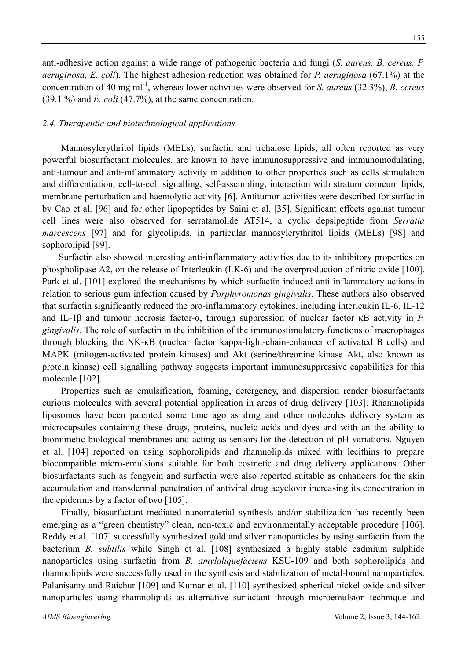anti-adhesive action against a wide range of pathogenic bacteria and fungi (*S. aureus, B. cereus, P. aeruginosa, E. coli*). The highest adhesion reduction was obtained for *P. aeruginosa* (67.1%) at the concentration of 40 mg ml-1, whereas lower activities were observed for *S. aureus* (32.3%), *B. cereus*  (39.1 %) and *E. coli* (47.7%), at the same concentration.

#### *2.4. Therapeutic and biotechnological applications*

Mannosylerythritol lipids (MELs), surfactin and trehalose lipids, all often reported as very powerful biosurfactant molecules, are known to have immunosuppressive and immunomodulating, anti-tumour and anti-inflammatory activity in addition to other properties such as cells stimulation and differentiation, cell-to-cell signalling, self-assembling, interaction with stratum corneum lipids, membrane perturbation and haemolytic activity [6]. Antitumor activities were described for surfactin by Cao et al. [96] and for other lipopeptides by Saini et al. [35]. Significant effects against tumour cell lines were also observed for serratamolide AT514, a cyclic depsipeptide from *Serratia marcescens* [97] and for glycolipids, in particular mannosylerythritol lipids (MELs) [98] and sophorolipid [99].

Surfactin also showed interesting anti-inflammatory activities due to its inhibitory properties on phospholipase A2, on the release of Interleukin (LK-6) and the overproduction of nitric oxide [100]. Park et al. [101] explored the mechanisms by which surfactin induced anti-inflammatory actions in relation to serious gum infection caused by *Porphyromonas gingivalis*. These authors also observed that surfactin significantly reduced the pro-inflammatory cytokines, including interleukin IL-6, IL-12 and IL-1β and tumour necrosis factor-α, through suppression of nuclear factor κB activity in *P. gingivalis.* The role of surfactin in the inhibition of the immunostimulatory functions of macrophages through blocking the NK-κB (nuclear factor kappa-light-chain-enhancer of activated B cells) and MAPK (mitogen-activated protein kinases) and Akt (serine/threonine kinase Akt, also known as protein kinase) cell signalling pathway suggests important immunosuppressive capabilities for this molecule [102].

Properties such as emulsification, foaming, detergency, and dispersion render biosurfactants curious molecules with several potential application in areas of drug delivery [103]. Rhamnolipids liposomes have been patented some time ago as drug and other molecules delivery system as microcapsules containing these drugs, proteins, nucleic acids and dyes and with an the ability to biomimetic biological membranes and acting as sensors for the detection of pH variations. Nguyen et al. [104] reported on using sophorolipids and rhamnolipids mixed with lecithins to prepare biocompatible micro-emulsions suitable for both cosmetic and drug delivery applications. Other biosurfactants such as fengycin and surfactin were also reported suitable as enhancers for the skin accumulation and transdermal penetration of antiviral drug acyclovir increasing its concentration in the epidermis by a factor of two [105].

Finally, biosurfactant mediated nanomaterial synthesis and/or stabilization has recently been emerging as a "green chemistry" clean, non-toxic and environmentally acceptable procedure [106]. Reddy et al. [107] successfully synthesized gold and silver nanoparticles by using surfactin from the bacterium *B. subtilis* while Singh et al. [108] synthesized a highly stable cadmium sulphide nanoparticles using surfactin from *B. amyloliquefaciens* KSU-109 and both sophorolipids and rhamnolipids were successfully used in the synthesis and stabilization of metal-bound nanoparticles. Palanisamy and Raichur [109] and Kumar et al. [110] synthesized spherical nickel oxide and silver nanoparticles using rhamnolipids as alternative surfactant through microemulsion technique and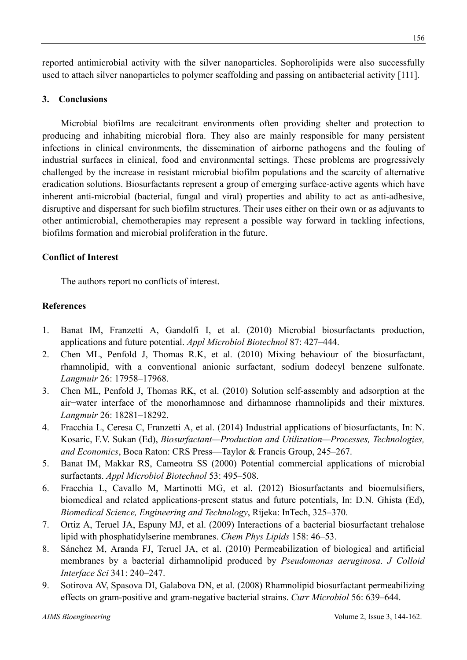reported antimicrobial activity with the silver nanoparticles. Sophorolipids were also successfully used to attach silver nanoparticles to polymer scaffolding and passing on antibacterial activity [111].

## **3. Conclusions**

Microbial biofilms are recalcitrant environments often providing shelter and protection to producing and inhabiting microbial flora. They also are mainly responsible for many persistent infections in clinical environments, the dissemination of airborne pathogens and the fouling of industrial surfaces in clinical, food and environmental settings. These problems are progressively challenged by the increase in resistant microbial biofilm populations and the scarcity of alternative eradication solutions. Biosurfactants represent a group of emerging surface-active agents which have inherent anti-microbial (bacterial, fungal and viral) properties and ability to act as anti-adhesive, disruptive and dispersant for such biofilm structures. Their uses either on their own or as adjuvants to other antimicrobial, chemotherapies may represent a possible way forward in tackling infections, biofilms formation and microbial proliferation in the future.

## **Conflict of Interest**

The authors report no conflicts of interest.

## **References**

- 1. Banat IM, Franzetti A, Gandolfi I, et al. (2010) Microbial biosurfactants production, applications and future potential. *Appl Microbiol Biotechnol* 87: 427–444.
- 2. Chen ML, Penfold J, Thomas R.K, et al. (2010) Mixing behaviour of the biosurfactant, rhamnolipid, with a conventional anionic surfactant, sodium dodecyl benzene sulfonate. *Langmuir* 26: 17958–17968.
- 3. Chen ML, Penfold J, Thomas RK, et al. (2010) Solution self-assembly and adsorption at the air−water interface of the monorhamnose and dirhamnose rhamnolipids and their mixtures. *Langmuir* 26: 18281–18292.
- 4. Fracchia L, Ceresa C, Franzetti A, et al. (2014) Industrial applications of biosurfactants, In: N. Kosaric, F.V. Sukan (Ed), *Biosurfactant—Production and Utilization—Processes, Technologies, and Economics*, Boca Raton: CRS Press—Taylor & Francis Group, 245–267.
- 5. Banat IM, Makkar RS, Cameotra SS (2000) Potential commercial applications of microbial surfactants. *Appl Microbiol Biotechnol* 53: 495–508.
- 6. Fracchia L, Cavallo M, Martinotti MG, et al. (2012) Biosurfactants and bioemulsifiers, biomedical and related applications-present status and future potentials, In: D.N. Ghista (Ed), *Biomedical Science, Engineering and Technology*, Rijeka: InTech, 325–370.
- 7. Ortiz A, Teruel JA, Espuny MJ, et al. (2009) Interactions of a bacterial biosurfactant trehalose lipid with phosphatidylserine membranes. *Chem Phys Lipids* 158: 46–53.
- 8. Sánchez M, Aranda FJ, Teruel JA, et al. (2010) Permeabilization of biological and artificial membranes by a bacterial dirhamnolipid produced by *Pseudomonas aeruginosa*. *J Colloid Interface Sci* 341: 240–247.
- 9. Sotirova AV, Spasova DI, Galabova DN, et al. (2008) Rhamnolipid biosurfactant permeabilizing effects on gram-positive and gram-negative bacterial strains. *Curr Microbiol* 56: 639–644.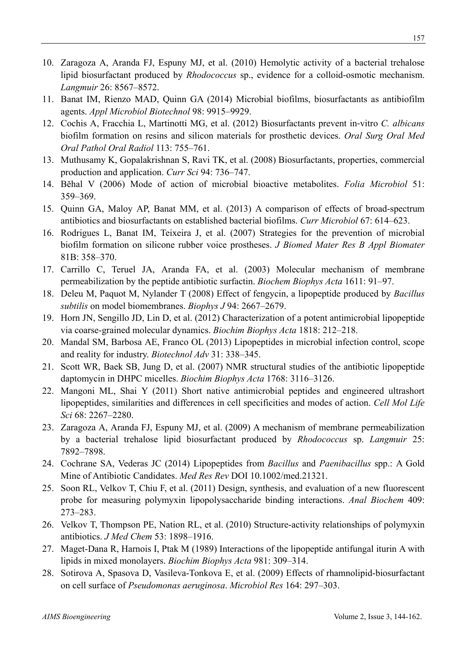- 10. Zaragoza A, Aranda FJ, Espuny MJ, et al. (2010) Hemolytic activity of a bacterial trehalose lipid biosurfactant produced by *Rhodococcus* sp., evidence for a colloid-osmotic mechanism. *Langmuir* 26: 8567–8572.
- 11. Banat IM, Rienzo MAD, Quinn GA (2014) Microbial biofilms, biosurfactants as antibiofilm agents. *Appl Microbiol Biotechnol* 98: 9915–9929.
- 12. Cochis A, Fracchia L, Martinotti MG, et al. (2012) Biosurfactants prevent in‐vitro *C. albicans* biofilm formation on resins and silicon materials for prosthetic devices. *Oral Surg Oral Med Oral Pathol Oral Radiol* 113: 755–761.
- 13. Muthusamy K, Gopalakrishnan S, Ravi TK, et al. (2008) Biosurfactants, properties, commercial production and application. *Curr Sci* 94: 736–747.
- 14. Bĕhal V (2006) Mode of action of microbial bioactive metabolites. *Folia Microbiol* 51: 359–369.
- 15. Quinn GA, Maloy AP, Banat MM, et al. (2013) A comparison of effects of broad-spectrum antibiotics and biosurfactants on established bacterial biofilms. *Curr Microbiol* 67: 614–623.
- 16. Rodrigues L, Banat IM, Teixeira J, et al. (2007) Strategies for the prevention of microbial biofilm formation on silicone rubber voice prostheses. *J Biomed Mater Res B Appl Biomater* 81B: 358–370.
- 17. Carrillo C, Teruel JA, Aranda FA, et al. (2003) Molecular mechanism of membrane permeabilization by the peptide antibiotic surfactin. *Biochem Biophys Acta* 1611: 91–97.
- 18. Deleu M, Paquot M, Nylander T (2008) Effect of fengycin, a lipopeptide produced by *Bacillus subtilis* on model biomembranes. *Biophys J* 94: 2667–2679.
- 19. Horn JN, Sengillo JD, Lin D, et al. (2012) Characterization of a potent antimicrobial lipopeptide via coarse-grained molecular dynamics. *Biochim Biophys Acta* 1818: 212–218.
- 20. Mandal SM, Barbosa AE, Franco OL (2013) Lipopeptides in microbial infection control, scope and reality for industry. *Biotechnol Adv* 31: 338–345.
- 21. Scott WR, Baek SB, Jung D, et al. (2007) NMR structural studies of the antibiotic lipopeptide daptomycin in DHPC micelles. *Biochim Biophys Acta* 1768: 3116–3126.
- 22. Mangoni ML, Shai Y (2011) Short native antimicrobial peptides and engineered ultrashort lipopeptides, similarities and differences in cell specificities and modes of action. *Cell Mol Life Sci* 68: 2267–2280.
- 23. Zaragoza A, Aranda FJ, Espuny MJ, et al. (2009) A mechanism of membrane permeabilization by a bacterial trehalose lipid biosurfactant produced by *Rhodococcus* sp. *Langmuir* 25: 7892–7898.
- 24. Cochrane SA, Vederas JC (2014) Lipopeptides from *Bacillus* and *Paenibacillus* spp.: A Gold Mine of Antibiotic Candidates. *Med Res Rev* DOI 10.1002/med.21321.
- 25. Soon RL, Velkov T, Chiu F, et al. (2011) Design, synthesis, and evaluation of a new fluorescent probe for measuring polymyxin lipopolysaccharide binding interactions. *Anal Biochem* 409: 273–283.
- 26. Velkov T, Thompson PE, Nation RL, et al. (2010) Structure-activity relationships of polymyxin antibiotics. *J Med Chem* 53: 1898–1916.
- 27. Maget-Dana R, Harnois I, Ptak M (1989) Interactions of the lipopeptide antifungal iturin A with lipids in mixed monolayers. *Biochim Biophys Acta* 981: 309–314.
- 28. Sotirova A, Spasova D, Vasileva-Tonkova E, et al. (2009) Effects of rhamnolipid-biosurfactant on cell surface of *Pseudomonas aeruginosa*. *Microbiol Res* 164: 297–303.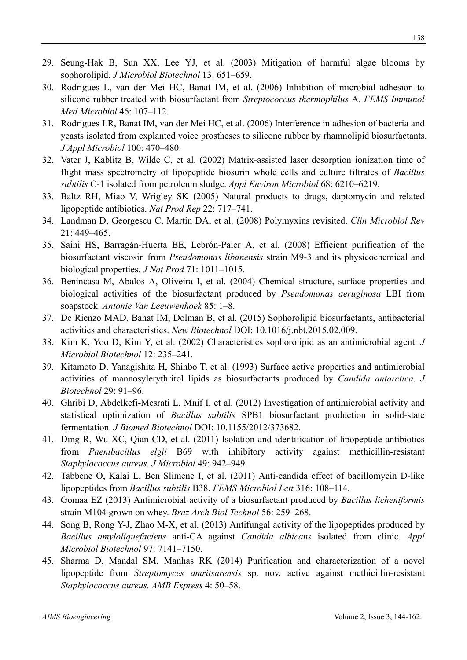- 29. Seung-Hak B, Sun XX, Lee YJ, et al. (2003) Mitigation of harmful algae blooms by sophorolipid. *J Microbiol Biotechnol* 13: 651–659.
- 30. Rodrigues L, van der Mei HC, Banat IM, et al. (2006) Inhibition of microbial adhesion to silicone rubber treated with biosurfactant from *Streptococcus thermophilus* A. *FEMS Immunol Med Microbiol* 46: 107–112.
- 31. Rodrigues LR, Banat IM, van der Mei HC, et al. (2006) Interference in adhesion of bacteria and yeasts isolated from explanted voice prostheses to silicone rubber by rhamnolipid biosurfactants. *J Appl Microbiol* 100: 470–480.
- 32. Vater J, Kablitz B, Wilde C, et al. (2002) Matrix-assisted laser desorption ionization time of flight mass spectrometry of lipopeptide biosurin whole cells and culture filtrates of *Bacillus subtilis* C-1 isolated from petroleum sludge. *Appl Environ Microbiol* 68: 6210–6219.
- 33. Baltz RH, Miao V, Wrigley SK (2005) Natural products to drugs, daptomycin and related lipopeptide antibiotics. *Nat Prod Rep* 22: 717–741.
- 34. Landman D, Georgescu C, Martin DA, et al. (2008) Polymyxins revisited. *Clin Microbiol Rev* 21: 449–465.
- 35. Saini HS, Barragán-Huerta BE, Lebrón-Paler A, et al. (2008) Efficient purification of the biosurfactant viscosin from *Pseudomonas libanensis* strain M9-3 and its physicochemical and biological properties. *J Nat Prod* 71: 1011–1015.
- 36. Benincasa M, Abalos A, Oliveira I, et al. (2004) Chemical structure, surface properties and biological activities of the biosurfactant produced by *Pseudomonas aeruginosa* LBI from soapstock. *Antonie Van Leeuwenhoek* 85: 1–8.
- 37. De Rienzo MAD, Banat IM, Dolman B, et al. (2015) Sophorolipid biosurfactants, antibacterial activities and characteristics. *New Biotechnol* DOI: 10.1016/j.nbt.2015.02.009.
- 38. Kim K, Yoo D, Kim Y, et al. (2002) Characteristics sophorolipid as an antimicrobial agent. *J Microbiol Biotechnol* 12: 235–241.
- 39. Kitamoto D, Yanagishita H, Shinbo T, et al. (1993) Surface active properties and antimicrobial activities of mannosylerythritol lipids as biosurfactants produced by *Candida antarctica*. *J Biotechnol* 29: 91–96.
- 40. Ghribi D, Abdelkefi-Mesrati L, Mnif I, et al. (2012) Investigation of antimicrobial activity and statistical optimization of *Bacillus subtilis* SPB1 biosurfactant production in solid-state fermentation. *J Biomed Biotechnol* DOI: 10.1155/2012/373682.
- 41. Ding R, Wu XC, Qian CD, et al. (2011) Isolation and identification of lipopeptide antibiotics from *Paenibacillus elgii* B69 with inhibitory activity against methicillin-resistant *Staphylococcus aureus. J Microbiol* 49: 942–949.
- 42. Tabbene O, Kalai L, Ben Slimene I, et al. (2011) Anti-candida effect of bacillomycin D-like lipopeptides from *Bacillus subtilis* B38. *FEMS Microbiol Lett* 316: 108–114.
- 43. Gomaa EZ (2013) Antimicrobial activity of a biosurfactant produced by *Bacillus licheniformis* strain M104 grown on whey. *Braz Arch Biol Technol* 56: 259–268.
- 44. Song B, Rong Y-J, Zhao M-X, et al. (2013) Antifungal activity of the lipopeptides produced by *Bacillus amyloliquefaciens* anti-CA against *Candida albicans* isolated from clinic. *Appl Microbiol Biotechnol* 97: 7141–7150.
- 45. Sharma D, Mandal SM, Manhas RK (2014) Purification and characterization of a novel lipopeptide from *Streptomyces amritsarensis* sp. nov. active against methicillin-resistant *Staphylococcus aureus. AMB Express* 4: 50–58.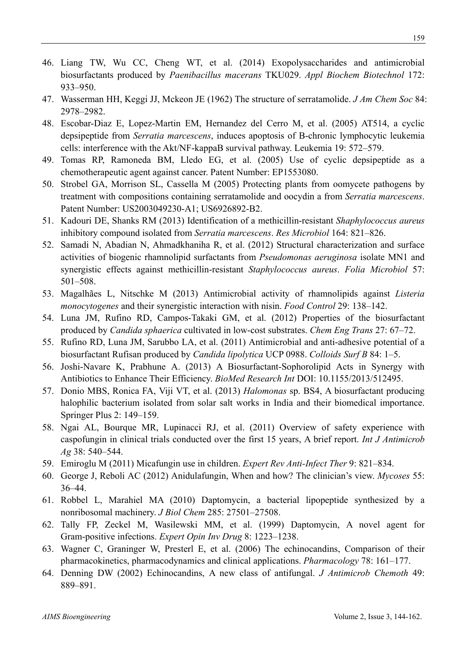- 46. Liang TW, Wu CC, Cheng WT, et al. (2014) Exopolysaccharides and antimicrobial biosurfactants produced by *Paenibacillus macerans* TKU029. *Appl Biochem Biotechnol* 172: 933–950.
- 47. Wasserman HH, Keggi JJ, Mckeon JE (1962) The structure of serratamolide. *J Am Chem Soc* 84: 2978–2982.
- 48. Escobar-Diaz E, Lopez-Martin EM, Hernandez del Cerro M, et al. (2005) AT514, a cyclic depsipeptide from *Serratia marcescens*, induces apoptosis of B-chronic lymphocytic leukemia cells: interference with the Akt/NF-kappaB survival pathway. Leukemia 19: 572–579.
- 49. Tomas RP, Ramoneda BM, Lledo EG, et al. (2005) Use of cyclic depsipeptide as a chemotherapeutic agent against cancer. Patent Number: EP1553080.
- 50. Strobel GA, Morrison SL, Cassella M (2005) Protecting plants from oomycete pathogens by treatment with compositions containing serratamolide and oocydin a from *Serratia marcescens*. Patent Number: US2003049230-A1; US6926892-B2.
- 51. Kadouri DE, Shanks RM (2013) Identification of a methicillin-resistant *Shaphylococcus aureus* inhibitory compound isolated from *Serratia marcescens*. *Res Microbiol* 164: 821–826.
- 52. Samadi N, Abadian N, Ahmadkhaniha R, et al. (2012) Structural characterization and surface activities of biogenic rhamnolipid surfactants from *Pseudomonas aeruginosa* isolate MN1 and synergistic effects against methicillin-resistant *Staphylococcus aureus*. *Folia Microbiol* 57: 501–508.
- 53. Magalhães L, Nitschke M (2013) Antimicrobial activity of rhamnolipids against *Listeria monocytogenes* and their synergistic interaction with nisin. *Food Control* 29: 138–142.
- 54. Luna JM, Rufino RD, Campos-Takaki GM, et al. (2012) Properties of the biosurfactant produced by *Candida sphaerica* cultivated in low-cost substrates. *Chem Eng Trans* 27: 67–72.
- 55. Rufino RD, Luna JM, Sarubbo LA, et al. (2011) Antimicrobial and anti-adhesive potential of a biosurfactant Rufisan produced by *Candida lipolytica* UCP 0988. *Colloids Surf B* 84: 1–5.
- 56. Joshi-Navare K, Prabhune A. (2013) A Biosurfactant-Sophorolipid Acts in Synergy with Antibiotics to Enhance Their Efficiency. *BioMed Research Int* DOI: 10.1155/2013/512495.
- 57. Donio MBS, Ronica FA, Viji VT, et al. (2013) *Halomonas* sp. BS4, A biosurfactant producing halophilic bacterium isolated from solar salt works in India and their biomedical importance. Springer Plus 2: 149–159.
- 58. Ngai AL, Bourque MR, Lupinacci RJ, et al. (2011) Overview of safety experience with caspofungin in clinical trials conducted over the first 15 years, A brief report. *Int J Antimicrob Ag* 38: 540–544.
- 59. Emiroglu M (2011) Micafungin use in children. *Expert Rev Anti-Infect Ther* 9: 821–834.
- 60. George J, Reboli AC (2012) Anidulafungin, When and how? The clinician's view. *Mycoses* 55: 36–44.
- 61. Robbel L, Marahiel MA (2010) Daptomycin, a bacterial lipopeptide synthesized by a nonribosomal machinery. *J Biol Chem* 285: 27501–27508.
- 62. Tally FP, Zeckel M, Wasilewski MM, et al. (1999) Daptomycin, A novel agent for Gram-positive infections. *Expert Opin Inv Drug* 8: 1223–1238.
- 63. Wagner C, Graninger W, Presterl E, et al. (2006) The echinocandins, Comparison of their pharmacokinetics, pharmacodynamics and clinical applications. *Pharmacology* 78: 161–177.
- 64. Denning DW (2002) Echinocandins, A new class of antifungal. *J Antimicrob Chemoth* 49: 889–891.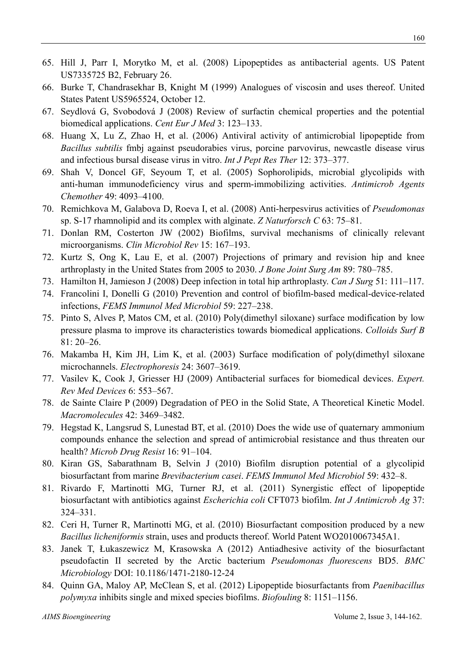- 65. Hill J, Parr I, Morytko M, et al. (2008) Lipopeptides as antibacterial agents. US Patent US7335725 B2, February 26.
- 66. Burke T, Chandrasekhar B, Knight M (1999) Analogues of viscosin and uses thereof. United States Patent US5965524, October 12.
- 67. Seydlová G, Svobodová J (2008) Review of surfactin chemical properties and the potential biomedical applications. *Cent Eur J Med* 3: 123–133.
- 68. Huang X, Lu Z, Zhao H, et al. (2006) Antiviral activity of antimicrobial lipopeptide from *Bacillus subtilis* fmbj against pseudorabies virus, porcine parvovirus, newcastle disease virus and infectious bursal disease virus in vitro. *Int J Pept Res Ther* 12: 373–377.
- 69. Shah V, Doncel GF, Seyoum T, et al. (2005) Sophorolipids, microbial glycolipids with anti-human immunodeficiency virus and sperm-immobilizing activities. *Antimicrob Agents Chemother* 49: 4093–4100.
- 70. Remichkova M, Galabova D, Roeva I, et al. (2008) Anti-herpesvirus activities of *Pseudomonas* sp. S-17 rhamnolipid and its complex with alginate. *Z Naturforsch C* 63: 75–81.
- 71. Donlan RM, Costerton JW (2002) Biofilms, survival mechanisms of clinically relevant microorganisms. *Clin Microbiol Rev* 15: 167–193.
- 72. Kurtz S, Ong K, Lau E, et al. (2007) Projections of primary and revision hip and knee arthroplasty in the United States from 2005 to 2030. *J Bone Joint Surg Am* 89: 780–785.
- 73. Hamilton H, Jamieson J (2008) Deep infection in total hip arthroplasty. *Can J Surg* 51: 111–117.
- 74. Francolini I, Donelli G (2010) Prevention and control of biofilm-based medical-device-related infections, *FEMS Immunol Med Microbiol* 59: 227–238.
- 75. Pinto S, Alves P, Matos CM, et al. (2010) Poly(dimethyl siloxane) surface modification by low pressure plasma to improve its characteristics towards biomedical applications. *Colloids Surf B* 81: 20–26.
- 76. Makamba H, Kim JH, Lim K, et al. (2003) Surface modification of poly(dimethyl siloxane microchannels. *Electrophoresis* 24: 3607–3619.
- 77. Vasilev K, Cook J, Griesser HJ (2009) Antibacterial surfaces for biomedical devices. *Expert. Rev Med Devices* 6: 553–567.
- 78. de Sainte Claire P (2009) Degradation of PEO in the Solid State, A Theoretical Kinetic Model. *Macromolecules* 42: 3469–3482.
- 79. Hegstad K, Langsrud S, Lunestad BT, et al. (2010) Does the wide use of quaternary ammonium compounds enhance the selection and spread of antimicrobial resistance and thus threaten our health? *Microb Drug Resist* 16: 91–104.
- 80. Kiran GS, Sabarathnam B, Selvin J (2010) Biofilm disruption potential of a glycolipid biosurfactant from marine *Brevibacterium casei*. *FEMS Immunol Med Microbiol* 59: 432–8.
- 81. Rivardo F, Martinotti MG, Turner RJ, et al. (2011) Synergistic effect of lipopeptide biosurfactant with antibiotics against *Escherichia coli* CFT073 biofilm. *Int J Antimicrob Ag* 37: 324–331.
- 82. Ceri H, Turner R, Martinotti MG, et al. (2010) Biosurfactant composition produced by a new *Bacillus licheniformis* strain, uses and products thereof. World Patent WO2010067345A1.
- 83. Janek T, Łukaszewicz M, Krasowska A (2012) Antiadhesive activity of the biosurfactant pseudofactin II secreted by the Arctic bacterium *Pseudomonas fluorescens* BD5. *BMC Microbiology* DOI: 10.1186/1471-2180-12-24
- 84. Quinn GA, Maloy AP, McClean S, et al. (2012) Lipopeptide biosurfactants from *Paenibacillus polymyxa* inhibits single and mixed species biofilms. *Biofouling* 8: 1151–1156.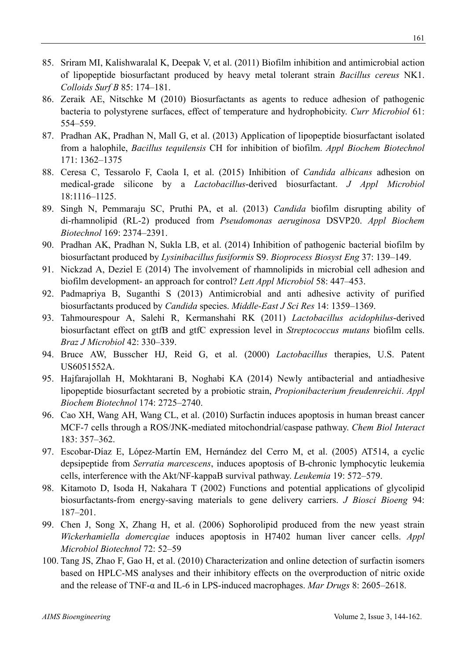- 85. Sriram MI, Kalishwaralal K, Deepak V, et al. (2011) Biofilm inhibition and antimicrobial action of lipopeptide biosurfactant produced by heavy metal tolerant strain *Bacillus cereus* NK1. *Colloids Surf B* 85: 174–181.
- 86. Zeraik AE, Nitschke M (2010) Biosurfactants as agents to reduce adhesion of pathogenic bacteria to polystyrene surfaces, effect of temperature and hydrophobicity. *Curr Microbiol* 61: 554–559.
- 87. Pradhan AK, Pradhan N, Mall G, et al. (2013) Application of lipopeptide biosurfactant isolated from a halophile, *Bacillus tequilensis* CH for inhibition of biofilm. *Appl Biochem Biotechnol* 171: 1362–1375
- 88. Ceresa C, Tessarolo F, Caola I, et al. (2015) Inhibition of *Candida albicans* adhesion on medical-grade silicone by a *Lactobacillus*-derived biosurfactant. *J Appl Microbiol* 18:1116–1125.
- 89. Singh N, Pemmaraju SC, Pruthi PA, et al. (2013) *Candida* biofilm disrupting ability of di-rhamnolipid (RL-2) produced from *Pseudomonas aeruginosa* DSVP20. *Appl Biochem Biotechnol* 169: 2374–2391.
- 90. Pradhan AK, Pradhan N, Sukla LB, et al. (2014) Inhibition of pathogenic bacterial biofilm by biosurfactant produced by *Lysinibacillus fusiformis* S9. *Bioprocess Biosyst Eng* 37: 139–149.
- 91. Nickzad A, Deziel E (2014) The involvement of rhamnolipids in microbial cell adhesion and biofilm development- an approach for control? *Lett Appl Microbiol* 58: 447–453.
- 92. Padmapriya B, Suganthi S (2013) Antimicrobial and anti adhesive activity of purified biosurfactants produced by *Candida* species. *Middle-East J Sci Res* 14: 1359–1369.
- 93. Tahmourespour A, Salehi R, Kermanshahi RK (2011) *Lactobacillus acidophilus*-derived biosurfactant effect on gtfB and gtfC expression level in *Streptococcus mutans* biofilm cells. *Braz J Microbiol* 42: 330–339.
- 94. Bruce AW, Busscher HJ, Reid G, et al. (2000) *Lactobacillus* therapies, U.S. Patent US6051552A.
- 95. Hajfarajollah H, Mokhtarani B, Noghabi KA (2014) Newly antibacterial and antiadhesive lipopeptide biosurfactant secreted by a probiotic strain, *Propionibacterium freudenreichii*. *Appl Biochem Biotechnol* 174: 2725–2740.
- 96. Cao XH, Wang AH, Wang CL, et al. (2010) Surfactin induces apoptosis in human breast cancer MCF-7 cells through a ROS/JNK-mediated mitochondrial/caspase pathway. *Chem Biol Interact* 183: 357–362.
- 97. Escobar-Díaz E, López-Martín EM, Hernández del Cerro M, et al. (2005) AT514, a cyclic depsipeptide from *Serratia marcescens*, induces apoptosis of B-chronic lymphocytic leukemia cells, interference with the Akt/NF-kappaB survival pathway. *Leukemia* 19: 572–579.
- 98. Kitamoto D, Isoda H, Nakahara T (2002) Functions and potential applications of glycolipid biosurfactants-from energy-saving materials to gene delivery carriers. *J Biosci Bioeng* 94: 187–201.
- 99. Chen J, Song X, Zhang H, et al. (2006) Sophorolipid produced from the new yeast strain *Wickerhamiella domercqiae* induces apoptosis in H7402 human liver cancer cells. *Appl Microbiol Biotechnol* 72: 52–59
- 100. Tang JS, Zhao F, Gao H, et al. (2010) Characterization and online detection of surfactin isomers based on HPLC-MS analyses and their inhibitory effects on the overproduction of nitric oxide and the release of TNF-α and IL-6 in LPS-induced macrophages. *Mar Drugs* 8: 2605–2618.